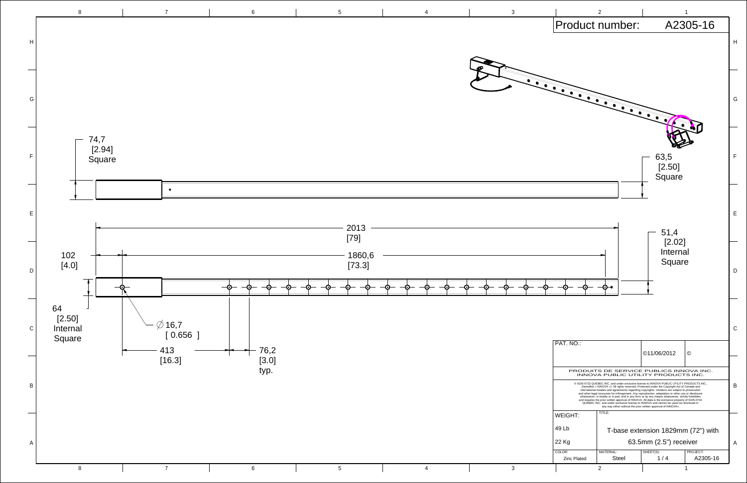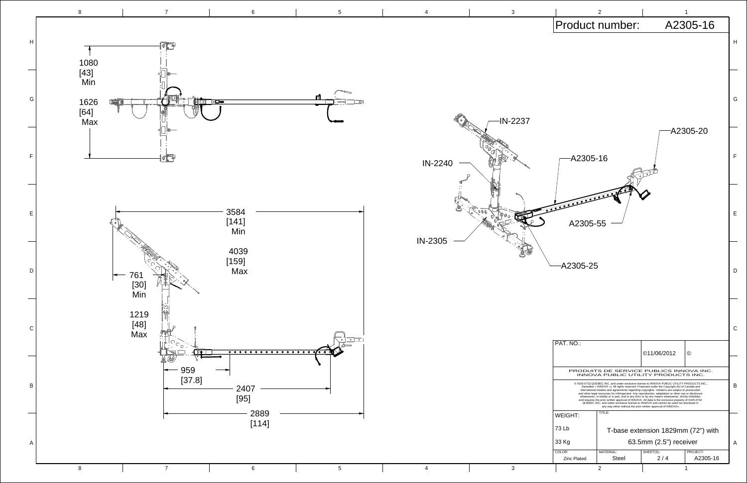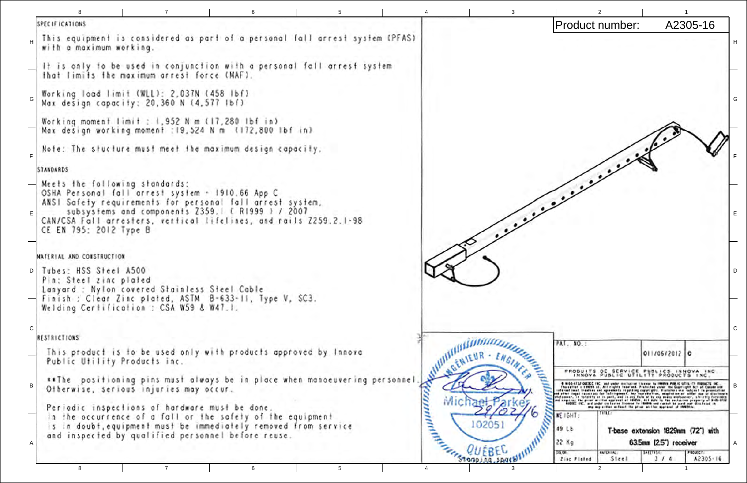```
SPECIFICATIONS
  This equipment is considered as part of a personal fall arrest system (PFAS)
  with a maximum working.
  It is only to be used in conjunction with a personal fall arrest system
  that limits the maximum arrest force (MAF).
  Working load limit (WLL): 2,037N (458 lbf)
  Max design capacity: 20,360 N (4,577 Ibf)
  Working moment limit : 1.952 N m (17.280 lbf in)
  Max design working moment : 19,524 N m (172,800 lbf in)
  Note: The stucture must meet the maximum design capacity.
F.
 STANDARDS
 Meets the following standards:
  OSHA Personal fall arrest system - 1910.66 App C
  ANSI Safety requirements for personal fall arrest system,
       subsystems and components 2359.1 (RI999 1 / 2007)
ECAN/CSA Fall arresters, vertical lifelines, and rails Z259.2.1-98
  CE EN 795: 2012 Type B
 NATERIAL AND CONSTRUCTION
 Tubes: HSS Steel A500
D<sub>1</sub>Pin: Steel zinc plated
  Lanyard : Nylon covered Stainless Steel Cable
 Finish : Clear Zinc plated, ASTM B-633-11, Type V, SC3.
  Welding Certification : CSA W59 & W47.1.
\mathsf{C}MUNITER ...
 RESTRICTIONS
  This product is to be used only with products approved by Innova
   Public Utility Products inc.
   **The positioning pins must always be in place when manoeuvering personnel
                                                                                 Hommodia
   Otherwise, serious injuries may occur.
   Periodic inspections of hardware must be done.
   In the occurrence of a fall or the safety of the equipment
                                                                                            102051
   is in doubt, equipment must be immediately removed from service
   and inspected by qualified personnel before reuse.
                                                                                     Free WEBEL
                            \overline{7}6
                                                                5.
```